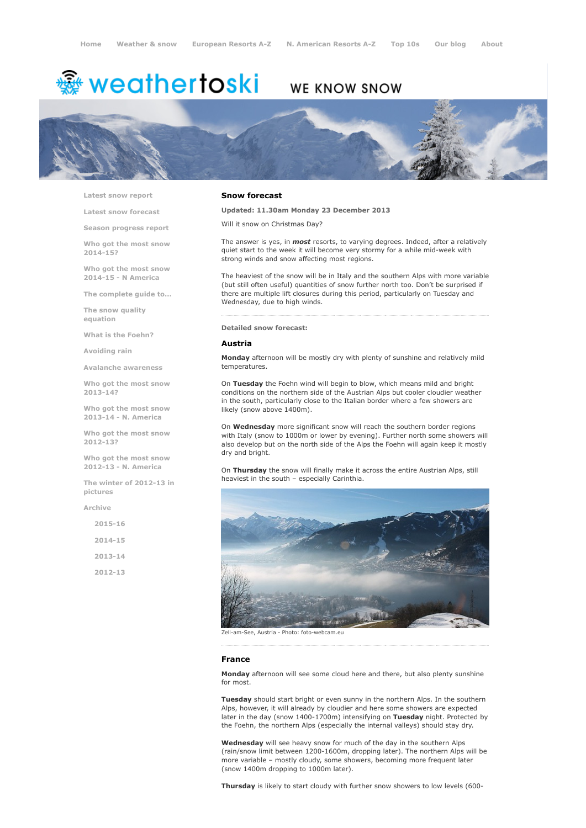# <sup>霧</sup> weathertoski

## WE KNOW SNOW



Latest snow [report](http://www.weathertoski.co.uk/weather-snow/latest-snow-report/)

Latest snow [forecast](http://www.weathertoski.co.uk/weather-snow/latest-snow-forecast/)

Season [progress](http://www.weathertoski.co.uk/weather-snow/season-progress-report/) report

Who got the most snow 2014-15?

Who got the most snow 2014-15 - N America

The [complete](http://www.weathertoski.co.uk/weather-snow/the-complete-guide-to/) guide to...

The snow quality [equation](http://www.weathertoski.co.uk/weather-snow/the-snow-quality-equation/)

What is the [Foehn?](http://www.weathertoski.co.uk/weather-snow/what-is-the-foehn/)

[Avoiding](http://www.weathertoski.co.uk/weather-snow/avoiding-rain/) rain

Avalanche [awareness](http://www.weathertoski.co.uk/weather-snow/avalanche-awareness/)

Who got the most snow 2013-14?

Who got the most snow 2013-14 - N. America

Who got the most snow 2012-13?

Who got the most snow 2012-13 - N. America

The winter of 2012-13 in pictures

[Archive](http://www.weathertoski.co.uk/weather-snow/archive/)

| $2015 - 16$ |  |
|-------------|--|
| $2014 - 15$ |  |
| $2013 - 14$ |  |
| $2012 - 13$ |  |

### Snow forecast

Updated: 11.30am Monday 23 December 2013

Will it snow on Christmas Day?

The answer is yes, in *most* resorts, to varying degrees. Indeed, after a relatively quiet start to the week it will become very stormy for a while mid-week with strong winds and snow affecting most regions.

The heaviest of the snow will be in Italy and the southern Alps with more variable (but still often useful) quantities of snow further north too. Don't be surprised if there are multiple lift closures during this period, particularly on Tuesday and Wednesday, due to high winds.

#### Detailed snow forecast:

#### Austria

Monday afternoon will be mostly dry with plenty of sunshine and relatively mild temperatures.

On Tuesday the Foehn wind will begin to blow, which means mild and bright conditions on the northern side of the Austrian Alps but cooler cloudier weather in the south, particularly close to the Italian border where a few showers are likely (snow above 1400m).

On Wednesday more significant snow will reach the southern border regions with Italy (snow to 1000m or lower by evening). Further north some showers will also develop but on the north side of the Alps the Foehn will again keep it mostly dry and bright.

On Thursday the snow will finally make it across the entire Austrian Alps, still heaviest in the south – especially Carinthia.



Zell-am-See, Austria - Photo: foto-webcam.eu

#### France

Monday afternoon will see some cloud here and there, but also plenty sunshine for most.

Tuesday should start bright or even sunny in the northern Alps. In the southern Alps, however, it will already by cloudier and here some showers are expected later in the day (snow 1400-1700m) intensifying on Tuesday night. Protected by the Foehn, the northern Alps (especially the internal valleys) should stay dry.

Wednesday will see heavy snow for much of the day in the southern Alps (rain/snow limit between 1200-1600m, dropping later). The northern Alps will be more variable – mostly cloudy, some showers, becoming more frequent later (snow 1400m dropping to 1000m later).

Thursday is likely to start cloudy with further snow showers to low levels (600-